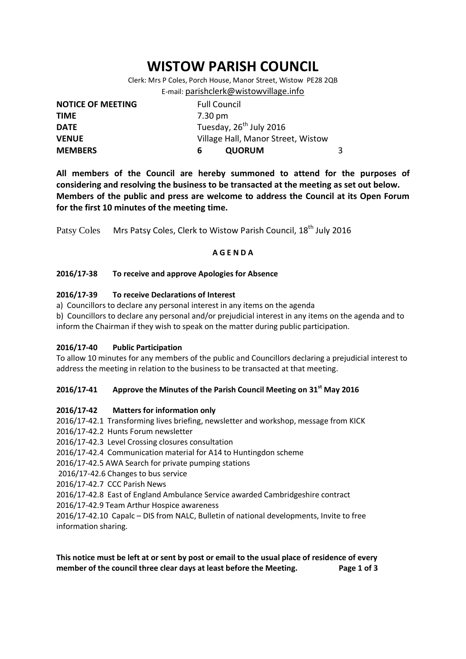# **WISTOW PARISH COUNCIL**

Clerk: Mrs P Coles, Porch House, Manor Street, Wistow PE28 2QB E-mail: [parishclerk@wistowvillage.info](mailto:parishclerk@wistowvillage.info)

| <b>NOTICE OF MEETING</b> | <b>Full Council</b>                 |   |
|--------------------------|-------------------------------------|---|
| <b>TIME</b>              | 7.30 pm                             |   |
| <b>DATE</b>              | Tuesday, 26 <sup>th</sup> July 2016 |   |
| <b>VENUE</b>             | Village Hall, Manor Street, Wistow  |   |
| <b>MEMBERS</b>           | <b>QUORUM</b><br>6                  | 3 |

**All members of the Council are hereby summoned to attend for the purposes of considering and resolving the business to be transacted at the meeting as set out below. Members of the public and press are welcome to address the Council at its Open Forum for the first 10 minutes of the meeting time.**

Patsy Coles Mrs Patsy Coles, Clerk to Wistow Parish Council, 18<sup>th</sup> July 2016

# **A G E N D A**

#### **2016/17-38 To receive and approve Apologies for Absence**

# **2016/17-39 To receive Declarations of Interest**

a) Councillors to declare any personal interest in any items on the agenda

b) Councillors to declare any personal and/or prejudicial interest in any items on the agenda and to inform the Chairman if they wish to speak on the matter during public participation.

#### **2016/17-40 Public Participation**

To allow 10 minutes for any members of the public and Councillors declaring a prejudicial interest to address the meeting in relation to the business to be transacted at that meeting.

# **2016/17-41 Approve the Minutes of the Parish Council Meeting on 31st May 2016**

#### **2016/17-42 Matters for information only**

- 2016/17-42.1 Transforming lives briefing, newsletter and workshop, message from KICK
- 2016/17-42.2 Hunts Forum newsletter
- 2016/17-42.3 Level Crossing closures consultation
- 2016/17-42.4 Communication material for A14 to Huntingdon scheme
- 2016/17-42.5 AWA Search for private pumping stations
- 2016/17-42.6 Changes to bus service
- 2016/17-42.7 CCC Parish News

2016/17-42.8 East of England Ambulance Service awarded Cambridgeshire contract

2016/17-42.9 Team Arthur Hospice awareness

2016/17-42.10 Capalc – DIS from NALC, Bulletin of national developments, Invite to free information sharing.

**This notice must be left at or sent by post or email to the usual place of residence of every member of the council three clear days at least before the Meeting. Page 1 of 3**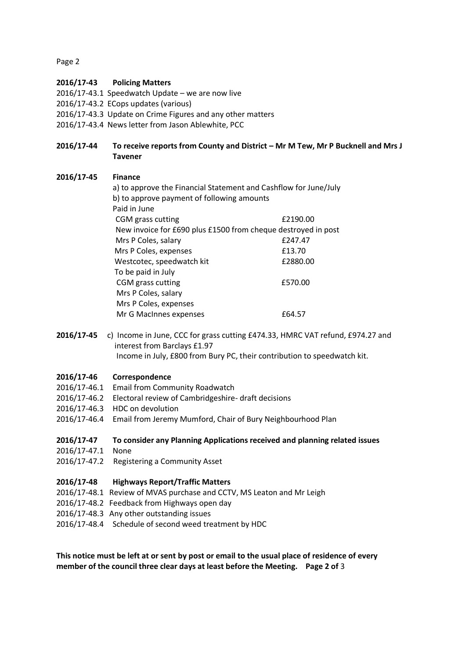Page 2

# **2016/17-43 Policing Matters**

- 2016/17-43.1 Speedwatch Update we are now live
- 2016/17-43.2 ECops updates (various)
- 2016/17-43.3 Update on Crime Figures and any other matters
- 2016/17-43.4 News letter from Jason Ablewhite, PCC

# **2016/17-44 To receive reports from County and District – Mr M Tew, Mr P Bucknell and Mrs J Tavener**

# **2016/17-45 Finance**

| a) to approve the Financial Statement and Cashflow for June/July |  |  |
|------------------------------------------------------------------|--|--|
| b) to approve payment of following amounts                       |  |  |
|                                                                  |  |  |
| £2190.00                                                         |  |  |
| New invoice for £690 plus £1500 from cheque destroyed in post    |  |  |
| £247.47                                                          |  |  |
| £13.70                                                           |  |  |
| £2880.00                                                         |  |  |
| To be paid in July                                               |  |  |
| £570.00                                                          |  |  |
|                                                                  |  |  |
|                                                                  |  |  |
| £64.57                                                           |  |  |
|                                                                  |  |  |

**2016/17-45** c) Income in June, CCC for grass cutting £474.33, HMRC VAT refund, £974.27 and interest from Barclays £1.97 Income in July, £800 from Bury PC, their contribution to speedwatch kit.

#### **2016/17-46 Correspondence**

- 2016/17-46.1 Email from Community Roadwatch
- 2016/17-46.2 Electoral review of Cambridgeshire- draft decisions
- 2016/17-46.3 HDC on devolution
- 2016/17-46.4 Email from Jeremy Mumford, Chair of Bury Neighbourhood Plan

#### **2016/17-47 To consider any Planning Applications received and planning related issues**

- 2016/17-47.1 None
- 2016/17-47.2 Registering a Community Asset

#### **2016/17-48 Highways Report/Traffic Matters**

- 2016/17-48.1 Review of MVAS purchase and CCTV, MS Leaton and Mr Leigh
- 2016/17-48.2 Feedback from Highways open day
- 2016/17-48.3 Any other outstanding issues
- 2016/17-48.4 Schedule of second weed treatment by HDC

**This notice must be left at or sent by post or email to the usual place of residence of every member of the council three clear days at least before the Meeting. Page 2 of** 3